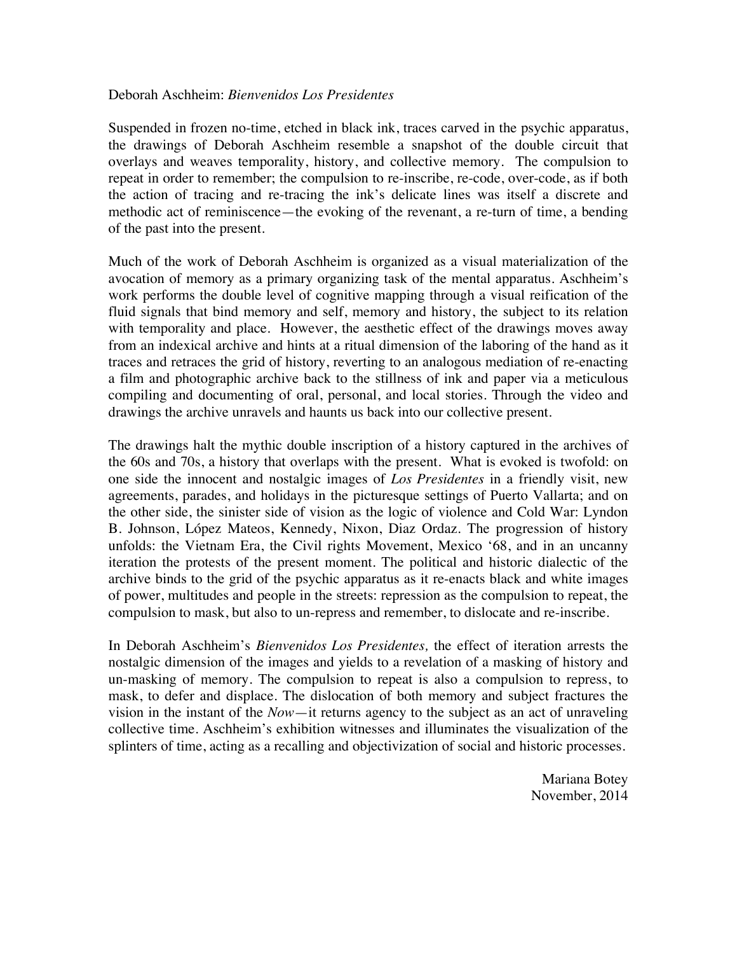## Deborah Aschheim: *Bienvenidos Los Presidentes*

Suspended in frozen no-time, etched in black ink, traces carved in the psychic apparatus, the drawings of Deborah Aschheim resemble a snapshot of the double circuit that overlays and weaves temporality, history, and collective memory. The compulsion to repeat in order to remember; the compulsion to re-inscribe, re-code, over-code, as if both the action of tracing and re-tracing the ink's delicate lines was itself a discrete and methodic act of reminiscence—the evoking of the revenant, a re-turn of time, a bending of the past into the present.

Much of the work of Deborah Aschheim is organized as a visual materialization of the avocation of memory as a primary organizing task of the mental apparatus. Aschheim's work performs the double level of cognitive mapping through a visual reification of the fluid signals that bind memory and self, memory and history, the subject to its relation with temporality and place. However, the aesthetic effect of the drawings moves away from an indexical archive and hints at a ritual dimension of the laboring of the hand as it traces and retraces the grid of history, reverting to an analogous mediation of re-enacting a film and photographic archive back to the stillness of ink and paper via a meticulous compiling and documenting of oral, personal, and local stories. Through the video and drawings the archive unravels and haunts us back into our collective present.

The drawings halt the mythic double inscription of a history captured in the archives of the 60s and 70s, a history that overlaps with the present. What is evoked is twofold: on one side the innocent and nostalgic images of *Los Presidentes* in a friendly visit, new agreements, parades, and holidays in the picturesque settings of Puerto Vallarta; and on the other side, the sinister side of vision as the logic of violence and Cold War: Lyndon B. Johnson, López Mateos, Kennedy, Nixon, Diaz Ordaz. The progression of history unfolds: the Vietnam Era, the Civil rights Movement, Mexico '68, and in an uncanny iteration the protests of the present moment. The political and historic dialectic of the archive binds to the grid of the psychic apparatus as it re-enacts black and white images of power, multitudes and people in the streets: repression as the compulsion to repeat, the compulsion to mask, but also to un-repress and remember, to dislocate and re-inscribe.

In Deborah Aschheim's *Bienvenidos Los Presidentes,* the effect of iteration arrests the nostalgic dimension of the images and yields to a revelation of a masking of history and un-masking of memory. The compulsion to repeat is also a compulsion to repress, to mask, to defer and displace. The dislocation of both memory and subject fractures the vision in the instant of the *Now*—it returns agency to the subject as an act of unraveling collective time. Aschheim's exhibition witnesses and illuminates the visualization of the splinters of time, acting as a recalling and objectivization of social and historic processes.

> Mariana Botey November, 2014